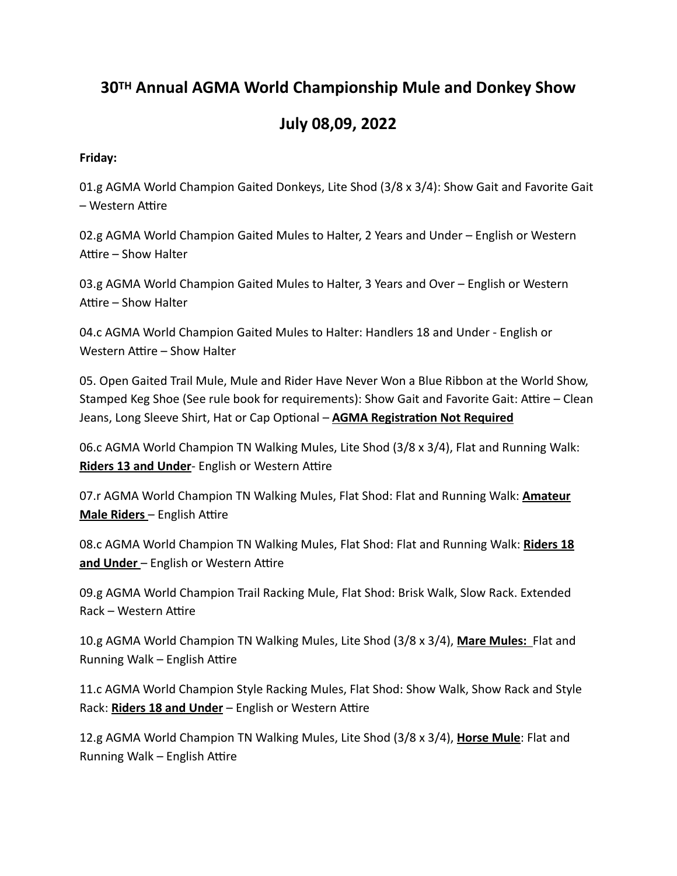# **30TH Annual AGMA World Championship Mule and Donkey Show**

# **July 08,09, 2022**

#### **Friday:**

01.g AGMA World Champion Gaited Donkeys, Lite Shod (3/8 x 3/4): Show Gait and Favorite Gait – Western Attire

02.g AGMA World Champion Gaited Mules to Halter, 2 Years and Under – English or Western Attire – Show Halter

03.g AGMA World Champion Gaited Mules to Halter, 3 Years and Over – English or Western Attire – Show Halter

04.c AGMA World Champion Gaited Mules to Halter: Handlers 18 and Under - English or Western Attire – Show Halter

05. Open Gaited Trail Mule, Mule and Rider Have Never Won a Blue Ribbon at the World Show, Stamped Keg Shoe (See rule book for requirements): Show Gait and Favorite Gait: Attire – Clean Jeans, Long Sleeve Shirt, Hat or Cap Optional – **AGMA Registration Not Required**

06.c AGMA World Champion TN Walking Mules, Lite Shod (3/8 x 3/4), Flat and Running Walk: **Riders 13 and Under**- English or Western Attire

07.r AGMA World Champion TN Walking Mules, Flat Shod: Flat and Running Walk: **Amateur Male Riders** – English Attire

08.c AGMA World Champion TN Walking Mules, Flat Shod: Flat and Running Walk: **Riders 18 and Under** – English or Western Attire

09.g AGMA World Champion Trail Racking Mule, Flat Shod: Brisk Walk, Slow Rack. Extended Rack – Western Attire

10.g AGMA World Champion TN Walking Mules, Lite Shod (3/8 x 3/4), **Mare Mules:** Flat and Running Walk – English Attire

11.c AGMA World Champion Style Racking Mules, Flat Shod: Show Walk, Show Rack and Style Rack: **Riders 18 and Under** – English or Western Attire

12.g AGMA World Champion TN Walking Mules, Lite Shod (3/8 x 3/4), **Horse Mule**: Flat and Running Walk – English Attire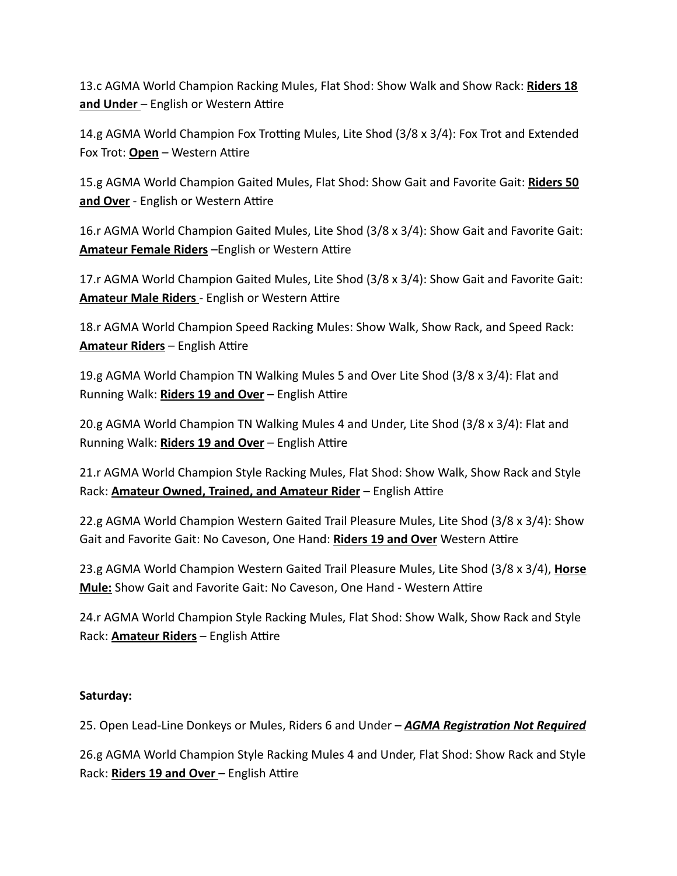13.c AGMA World Champion Racking Mules, Flat Shod: Show Walk and Show Rack: **Riders 18 and Under** – English or Western Attire

14.g AGMA World Champion Fox Trotting Mules, Lite Shod (3/8 x 3/4): Fox Trot and Extended Fox Trot: **Open** – Western Attire

15.g AGMA World Champion Gaited Mules, Flat Shod: Show Gait and Favorite Gait: **Riders 50 and Over** - English or Western Attire

16.r AGMA World Champion Gaited Mules, Lite Shod (3/8 x 3/4): Show Gait and Favorite Gait: **Amateur Female Riders** –English or Western Attire

17.r AGMA World Champion Gaited Mules, Lite Shod (3/8 x 3/4): Show Gait and Favorite Gait: **Amateur Male Riders** - English or Western Attire

18.r AGMA World Champion Speed Racking Mules: Show Walk, Show Rack, and Speed Rack: **Amateur Riders** – English Attire

19.g AGMA World Champion TN Walking Mules 5 and Over Lite Shod (3/8 x 3/4): Flat and Running Walk: **Riders 19 and Over** – English Attire

20.g AGMA World Champion TN Walking Mules 4 and Under, Lite Shod (3/8 x 3/4): Flat and Running Walk: **Riders 19 and Over** – English Attire

21.r AGMA World Champion Style Racking Mules, Flat Shod: Show Walk, Show Rack and Style Rack: **Amateur Owned, Trained, and Amateur Rider** – English Attire

22.g AGMA World Champion Western Gaited Trail Pleasure Mules, Lite Shod (3/8 x 3/4): Show Gait and Favorite Gait: No Caveson, One Hand: **Riders 19 and Over** Western Attire

23.g AGMA World Champion Western Gaited Trail Pleasure Mules, Lite Shod (3/8 x 3/4), **Horse Mule:** Show Gait and Favorite Gait: No Caveson, One Hand - Western Attire

24.r AGMA World Champion Style Racking Mules, Flat Shod: Show Walk, Show Rack and Style Rack: **Amateur Riders** – English Attire

## **Saturday:**

25. Open Lead-Line Donkeys or Mules, Riders 6 and Under – *AGMA Registration Not Required*

26.g AGMA World Champion Style Racking Mules 4 and Under, Flat Shod: Show Rack and Style Rack: **Riders 19 and Over** – English Attire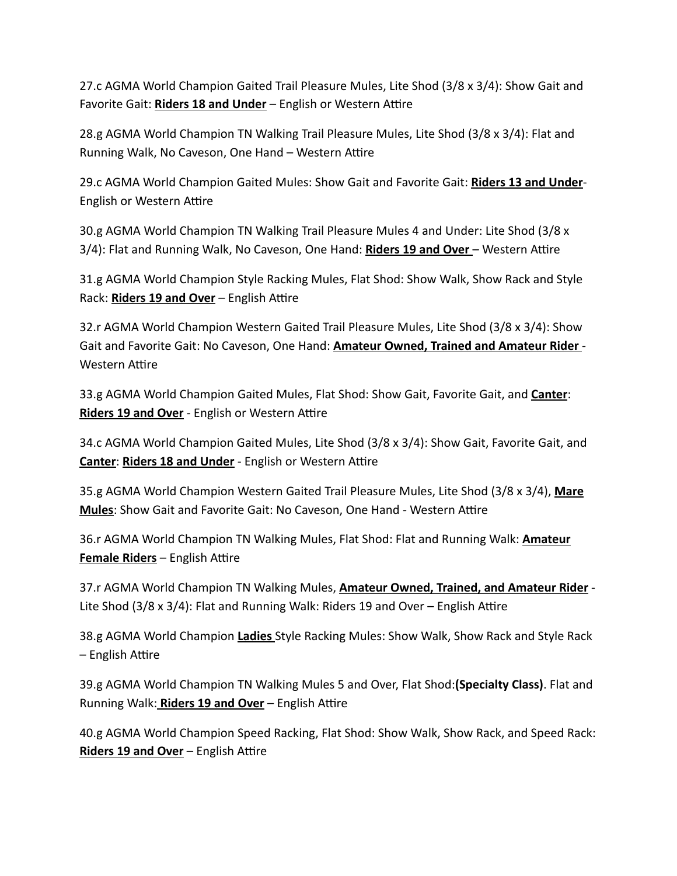27.c AGMA World Champion Gaited Trail Pleasure Mules, Lite Shod (3/8 x 3/4): Show Gait and Favorite Gait: **Riders 18 and Under** – English or Western Attire

28.g AGMA World Champion TN Walking Trail Pleasure Mules, Lite Shod (3/8 x 3/4): Flat and Running Walk, No Caveson, One Hand – Western Attire

29.c AGMA World Champion Gaited Mules: Show Gait and Favorite Gait: **Riders 13 and Under**-English or Western Attire

30.g AGMA World Champion TN Walking Trail Pleasure Mules 4 and Under: Lite Shod (3/8 x 3/4): Flat and Running Walk, No Caveson, One Hand: **Riders 19 and Over** – Western Attire

31.g AGMA World Champion Style Racking Mules, Flat Shod: Show Walk, Show Rack and Style Rack: **Riders 19 and Over** – English Attire

32.r AGMA World Champion Western Gaited Trail Pleasure Mules, Lite Shod (3/8 x 3/4): Show Gait and Favorite Gait: No Caveson, One Hand: **Amateur Owned, Trained and Amateur Rider** - Western Attire

33.g AGMA World Champion Gaited Mules, Flat Shod: Show Gait, Favorite Gait, and **Canter**: **Riders 19 and Over** - English or Western Attire

34.c AGMA World Champion Gaited Mules, Lite Shod (3/8 x 3/4): Show Gait, Favorite Gait, and **Canter**: **Riders 18 and Under** - English or Western Attire

35.g AGMA World Champion Western Gaited Trail Pleasure Mules, Lite Shod (3/8 x 3/4), **Mare Mules**: Show Gait and Favorite Gait: No Caveson, One Hand - Western Attire

36.r AGMA World Champion TN Walking Mules, Flat Shod: Flat and Running Walk: **Amateur Female Riders** – English Attire

37.r AGMA World Champion TN Walking Mules, **Amateur Owned, Trained, and Amateur Rider** - Lite Shod (3/8 x 3/4): Flat and Running Walk: Riders 19 and Over – English Attire

38.g AGMA World Champion **Ladies** Style Racking Mules: Show Walk, Show Rack and Style Rack – English Attire

39.g AGMA World Champion TN Walking Mules 5 and Over, Flat Shod:**(Specialty Class)**. Flat and Running Walk: **Riders 19 and Over** – English Attire

40.g AGMA World Champion Speed Racking, Flat Shod: Show Walk, Show Rack, and Speed Rack: **Riders 19 and Over** – English Attire